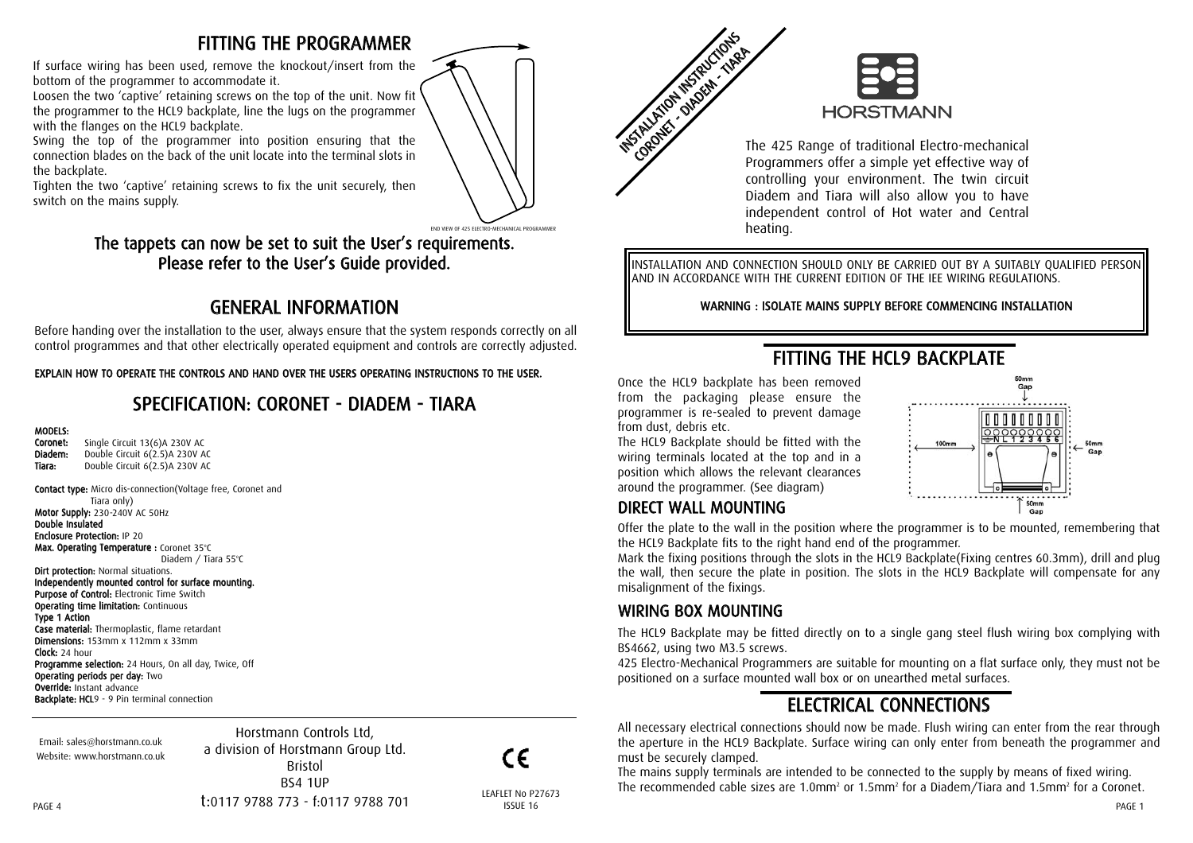## FITTING THE PROGRAMMER

If surface wiring has been used, remove the knockout/insert from the bottom of the programmer to accommodate it.

Loosen the two 'captive' retaining screws on the top of the unit. Now fit the programmer to the HCL9 backplate, line the lugs on the programmer with the flanges on the HCL9 backplate.

Swing the top of the programmer into position ensuring that the connection blades on the back of the unit locate into the terminal slots in the backplate.

Tighten the two 'captive' retaining screws to fix the unit securely, then switch on the mains supply.



### The tappets can now be set to suit the User's requirements. Please refer to the User's Guide provided.

# GENERAL INFORMATION

Before handing over the installation to the user, always ensure that the system responds correctly on all control programmes and that other electrically operated equipment and controls are correctly adjusted.

#### EXPLAIN HOW TO OPERATE THE CONTROLS AND HAND OVER THE USERS OPERATING INSTRUCTIONS TO THE USER.

## SPECIFICATION: CORONET - DIADEM - TIARA

#### MODELS:

| Coronet: | Single Circuit 13(6)A 230V AC  |
|----------|--------------------------------|
| Diadem:  | Double Circuit 6(2.5)A 230V AC |
| Tiara:   | Double Circuit 6(2.5)A 230V AC |

Contact type: Micro dis-connection(Voltage free, Coronet and Tiara only) Motor Supply: 230-240V AC 50Hz Double Insulated Enclosure Protection: IP 20 **Max. Operating Temperature :** Coronet 35°C Diadem / Tiara 55°C

**Dirt protection: Normal situations.** Independently mounted control for surface mounting. Purpose of Control: Electronic Time Switch **Operating time limitation: Continuous** Type 1 Action Case material: Thermoplastic, flame retardant Dimensions: 153mm x 112mm x 33mm Clock: 24 hour **Programme selection:** 24 Hours, On all day, Twice, Off Operating periods per day: Two Override: Instant advance **Backplate: HCL**9 - 9 Pin terminal connection

Email: sales@horstmann.co.uk Website: www.horstmann.co.uk

 $PAGE$  and the contract of the contract of the contract of the contract of the contract of the contract of the contract of the contract of the contract of the contract of the contract of the contract of the contract of the Horstmann Controls Ltd, a division of Horstmann Group Ltd. Bristol BS4 1UP t:0117 9788 773 - f:0117 9788 701

CE

#### LEAFLET No P27673 ISSUE 16



**INSTRUCTION INSTRUCTIONS** CORONET - DIADEM-TIARA The 425 Range of traditional Electro-mechanical Programmers offer a simple yet effective way of controlling your environment. The twin circuit Diadem and Tiara will also allow you to have independent control of Hot water and Central heating.

INSTALLATION AND CONNECTION SHOULD ONLY BE CARRIED OUT BY A SUITABLY QUALIFIED PERSON AND IN ACCORDANCE WITH THE CURRENT EDITION OF THE IEE WIRING REGULATIONS.

WARNING : ISOLATE MAINS SUPPLY BEFORE COMMENCING INSTALLATION

FITTING THE HCL9 BACKPLATE

# $60<sub>mn</sub>$  $_{\text{Gar}}$  $100m$ 50mm Gar

#### The HCL9 Backplate should be fitted with the wiring terminals located at the top and in a position which allows the relevant clearances

Once the HCL9 backplate has been removed from the packaging please ensure the programmer is re-sealed to prevent damage

DIRECT WALL MOUNTING around the programmer. (See diagram)

from dust, debris etc.

Offer the plate to the wall in the position where the programmer is to be mounted, remembering that the HCL9 Backplate fits to the right hand end of the programmer.

Mark the fixing positions through the slots in the HCL9 Backplate(Fixing centres 60.3mm), drill and plug the wall, then secure the plate in position. The slots in the HCL9 Backplate will compensate for any misalignment of the fixings.

### WIRING BOX MOUNTING

The HCL9 Backplate may be fitted directly on to a single gang steel flush wiring box complying with BS4662, using two M3.5 screws.

425 Electro-Mechanical Programmers are suitable for mounting on a flat surface only, they must not be positioned on a surface mounted wall box or on unearthed metal surfaces.

# ELECTRICAL CONNECTIONS

All necessary electrical connections should now be made. Flush wiring can enter from the rear through the aperture in the HCL9 Backplate. Surface wiring can only enter from beneath the programmer and must be securely clamped.

The mains supply terminals are intended to be connected to the supply by means of fixed wiring. The recommended cable sizes are 1.0mm<sup>2</sup> or 1.5mm<sup>2</sup> for a Diadem/Tiara and 1.5mm<sup>2</sup> for a Coronet.